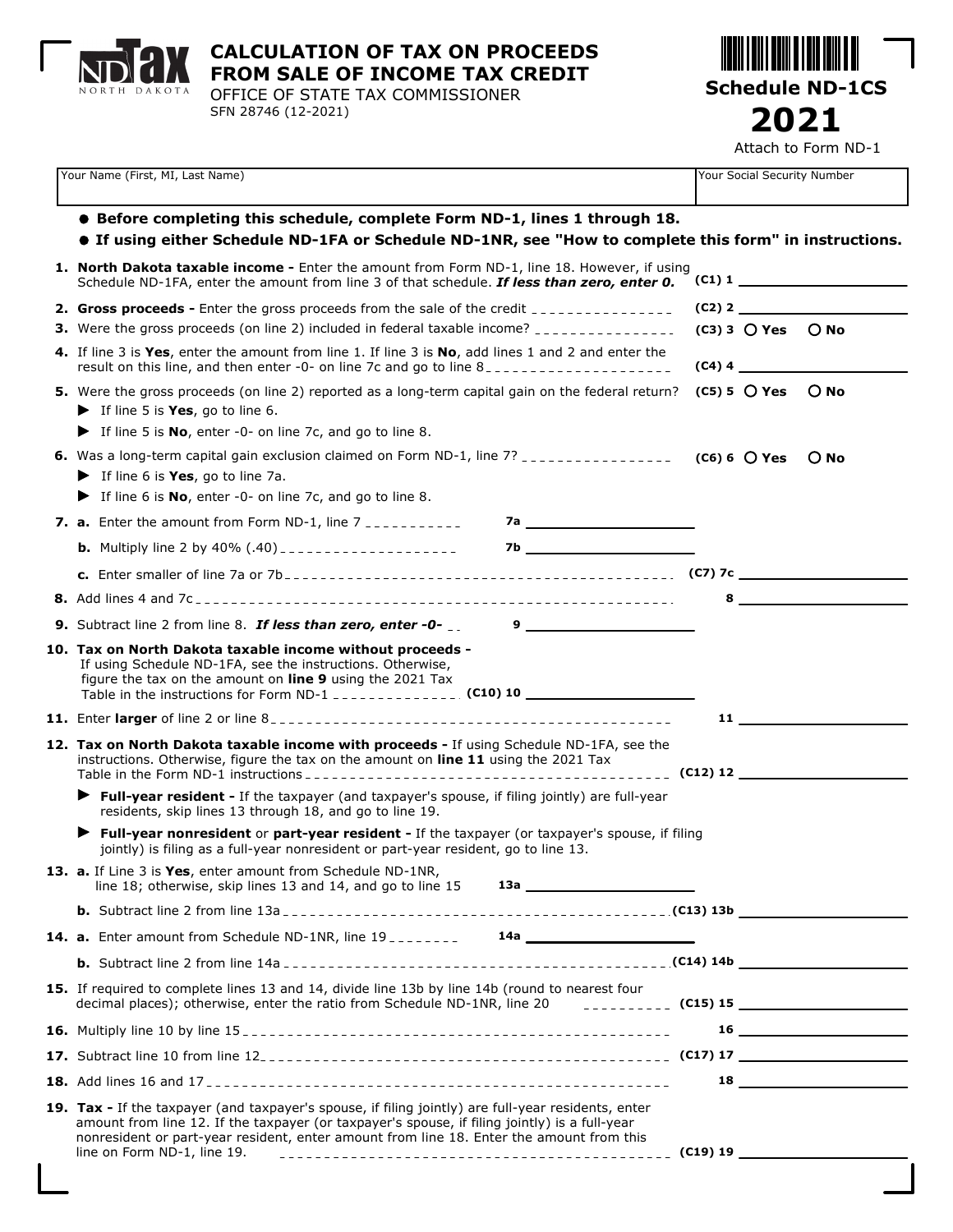

**CALCULATION OF TAX ON PROCEEDS FROM SALE OF INCOME TAX CREDIT**

OFFICE OF STATE TAX COMMISSIONER SFN 28746 (12-2021)

**Schedule ND-1CS 2021** Attach to Form ND-1

| Your Name (First, MI, Last Name)                                                                                                                                                                                                                                                                                                |  | Your Social Security Number                                                                                                                                                                                                  |                              |  |
|---------------------------------------------------------------------------------------------------------------------------------------------------------------------------------------------------------------------------------------------------------------------------------------------------------------------------------|--|------------------------------------------------------------------------------------------------------------------------------------------------------------------------------------------------------------------------------|------------------------------|--|
| ● Before completing this schedule, complete Form ND-1, lines 1 through 18.<br>• If using either Schedule ND-1FA or Schedule ND-1NR, see "How to complete this form" in instructions.                                                                                                                                            |  |                                                                                                                                                                                                                              |                              |  |
| 1. North Dakota taxable income - Enter the amount from Form ND-1, line 18. However, if using<br>Schedule ND-1FA, enter the amount from line 3 of that schedule. If less than zero, enter 0.                                                                                                                                     |  |                                                                                                                                                                                                                              | $\left( \text{C1} \right)$ 1 |  |
| 2. Gross proceeds - Enter the gross proceeds from the sale of the credit ______________                                                                                                                                                                                                                                         |  |                                                                                                                                                                                                                              |                              |  |
| <b>3.</b> Were the gross proceeds (on line 2) included in federal taxable income? _______________                                                                                                                                                                                                                               |  | $(C3)$ 3 $O$ Yes $O$ No                                                                                                                                                                                                      |                              |  |
| 4. If line 3 is Yes, enter the amount from line 1. If line 3 is No, add lines 1 and 2 and enter the<br>result on this line, and then enter -0- on line 7c and go to line 8____________________                                                                                                                                  |  | $(C4)$ 4                                                                                                                                                                                                                     |                              |  |
| 5. Were the gross proceeds (on line 2) reported as a long-term capital gain on the federal return?<br>$\blacktriangleright$ If line 5 is <b>Yes</b> , go to line 6.                                                                                                                                                             |  | $(C5) 5$ $O$ Yes $O$ No                                                                                                                                                                                                      |                              |  |
| $\blacktriangleright$ If line 5 is <b>No</b> , enter -0- on line 7c, and go to line 8.                                                                                                                                                                                                                                          |  |                                                                                                                                                                                                                              |                              |  |
| 6. Was a long-term capital gain exclusion claimed on Form ND-1, line 7? __________________ (C6) 6 O Yes O No                                                                                                                                                                                                                    |  |                                                                                                                                                                                                                              |                              |  |
| $\blacktriangleright$ If line 6 is <b>Yes</b> , go to line 7a.                                                                                                                                                                                                                                                                  |  |                                                                                                                                                                                                                              |                              |  |
| $\blacktriangleright$ If line 6 is <b>No</b> , enter -0- on line 7c, and go to line 8.                                                                                                                                                                                                                                          |  |                                                                                                                                                                                                                              |                              |  |
|                                                                                                                                                                                                                                                                                                                                 |  |                                                                                                                                                                                                                              |                              |  |
|                                                                                                                                                                                                                                                                                                                                 |  |                                                                                                                                                                                                                              |                              |  |
|                                                                                                                                                                                                                                                                                                                                 |  |                                                                                                                                                                                                                              |                              |  |
|                                                                                                                                                                                                                                                                                                                                 |  |                                                                                                                                                                                                                              |                              |  |
|                                                                                                                                                                                                                                                                                                                                 |  |                                                                                                                                                                                                                              |                              |  |
| 10. Tax on North Dakota taxable income without proceeds -                                                                                                                                                                                                                                                                       |  |                                                                                                                                                                                                                              |                              |  |
| If using Schedule ND-1FA, see the instructions. Otherwise,<br>figure the tax on the amount on line 9 using the 2021 Tax                                                                                                                                                                                                         |  |                                                                                                                                                                                                                              |                              |  |
|                                                                                                                                                                                                                                                                                                                                 |  | $11$ and $11$ and $11$ and $11$ and $11$ and $11$ and $11$ and $11$ and $11$ and $11$ and $11$ and $11$ and $11$ and $11$ and $11$ and $11$ and $11$ and $11$ and $11$ and $11$ and $11$ and $11$ and $11$ and $11$ and $11$ |                              |  |
| 12. Tax on North Dakota taxable income with proceeds - If using Schedule ND-1FA, see the<br>instructions. Otherwise, figure the tax on the amount on line 11 using the 2021 Tax                                                                                                                                                 |  |                                                                                                                                                                                                                              |                              |  |
| Full-year resident - If the taxpayer (and taxpayer's spouse, if filing jointly) are full-year<br>residents, skip lines 13 through 18, and go to line 19.                                                                                                                                                                        |  |                                                                                                                                                                                                                              |                              |  |
| Full-year nonresident or part-year resident - If the taxpayer (or taxpayer's spouse, if filing<br>jointly) is filing as a full-year nonresident or part-year resident, go to line 13.                                                                                                                                           |  |                                                                                                                                                                                                                              |                              |  |
| 13. a. If Line 3 is Yes, enter amount from Schedule ND-1NR,<br>line 18; otherwise, skip lines 13 and 14, and go to line $15$ 13a $\frac{1}{2}$                                                                                                                                                                                  |  |                                                                                                                                                                                                                              |                              |  |
|                                                                                                                                                                                                                                                                                                                                 |  |                                                                                                                                                                                                                              |                              |  |
|                                                                                                                                                                                                                                                                                                                                 |  |                                                                                                                                                                                                                              |                              |  |
|                                                                                                                                                                                                                                                                                                                                 |  |                                                                                                                                                                                                                              |                              |  |
| 15. If required to complete lines 13 and 14, divide line 13b by line 14b (round to nearest four<br>decimal places); otherwise, enter the ratio from Schedule ND-1NR, line 20                                                                                                                                                    |  |                                                                                                                                                                                                                              |                              |  |
|                                                                                                                                                                                                                                                                                                                                 |  |                                                                                                                                                                                                                              |                              |  |
|                                                                                                                                                                                                                                                                                                                                 |  |                                                                                                                                                                                                                              |                              |  |
|                                                                                                                                                                                                                                                                                                                                 |  |                                                                                                                                                                                                                              | $18 \thinspace - \thinspace$ |  |
| 19. Tax - If the taxpayer (and taxpayer's spouse, if filing jointly) are full-year residents, enter<br>amount from line 12. If the taxpayer (or taxpayer's spouse, if filing jointly) is a full-year<br>nonresident or part-year resident, enter amount from line 18. Enter the amount from this<br>line on Form ND-1, line 19. |  |                                                                                                                                                                                                                              |                              |  |
|                                                                                                                                                                                                                                                                                                                                 |  |                                                                                                                                                                                                                              |                              |  |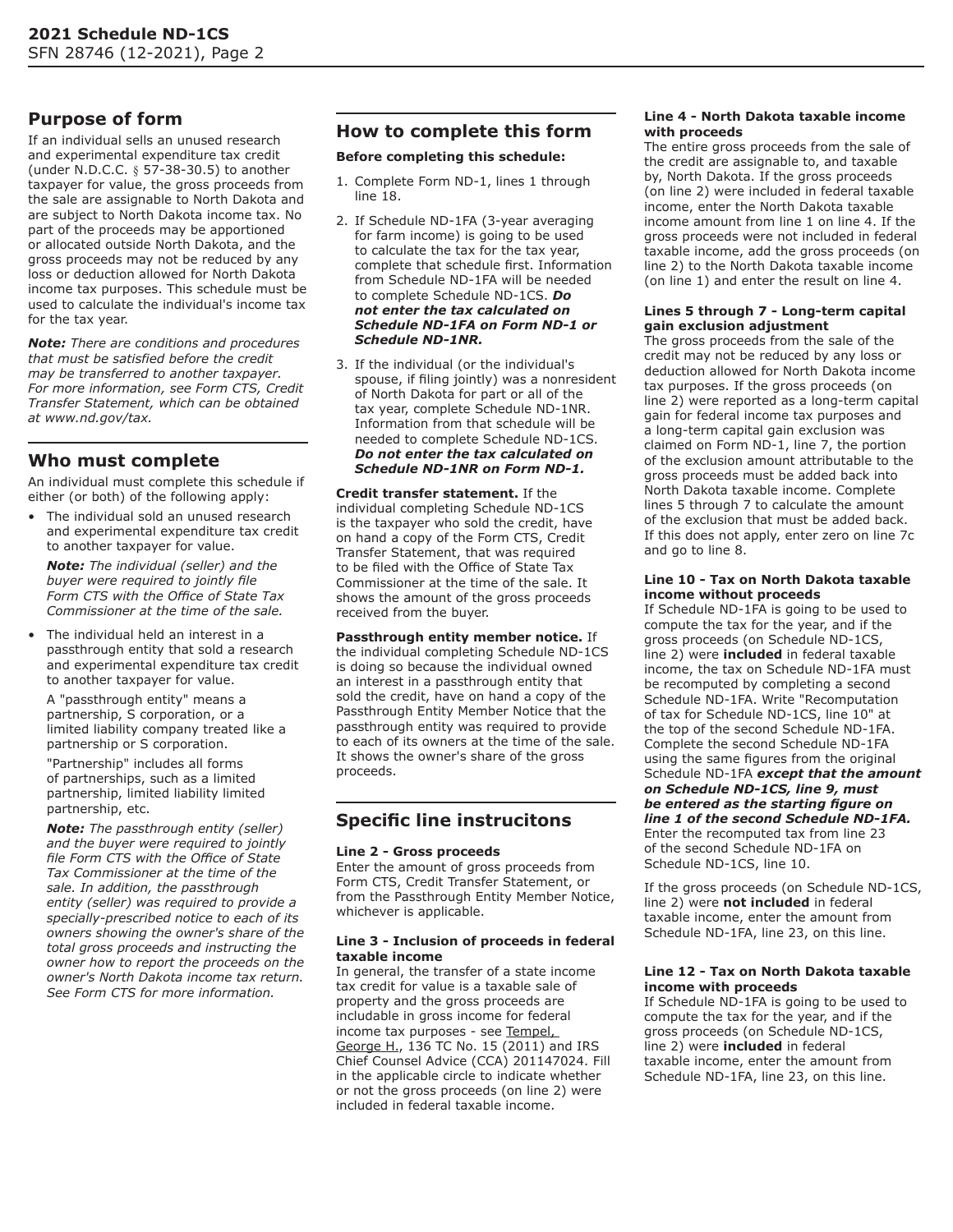# **Purpose of form**

If an individual sells an unused research and experimental expenditure tax credit (under N.D.C.C. § 57-38-30.5) to another taxpayer for value, the gross proceeds from the sale are assignable to North Dakota and are subject to North Dakota income tax. No part of the proceeds may be apportioned or allocated outside North Dakota, and the gross proceeds may not be reduced by any loss or deduction allowed for North Dakota income tax purposes. This schedule must be used to calculate the individual's income tax for the tax year.

*Note: There are conditions and procedures that must be satisfied before the credit may be transferred to another taxpayer. For more information, see Form CTS, Credit Transfer Statement, which can be obtained at www.nd.gov/tax.*

# **Who must complete**

An individual must complete this schedule if either (or both) of the following apply:

The individual sold an unused research and experimental expenditure tax credit to another taxpayer for value.

*Note: The individual (seller) and the buyer were required to jointly file Form CTS with the Office of State Tax Commissioner at the time of the sale.*

• The individual held an interest in a passthrough entity that sold a research and experimental expenditure tax credit to another taxpayer for value.

A "passthrough entity" means a partnership, S corporation, or a limited liability company treated like a partnership or S corporation.

"Partnership" includes all forms of partnerships, such as a limited partnership, limited liability limited partnership, etc.

*Note: The passthrough entity (seller) and the buyer were required to jointly file Form CTS with the Office of State Tax Commissioner at the time of the sale. In addition, the passthrough entity (seller) was required to provide a specially-prescribed notice to each of its owners showing the owner's share of the total gross proceeds and instructing the owner how to report the proceeds on the owner's North Dakota income tax return. See Form CTS for more information.*

# **How to complete this form**

## **Before completing this schedule:**

- 1. Complete Form ND-1, lines 1 through line 18.
- 2. If Schedule ND-1FA (3-year averaging for farm income) is going to be used to calculate the tax for the tax year, complete that schedule first. Information from Schedule ND-1FA will be needed to complete Schedule ND-1CS. *Do not enter the tax calculated on Schedule ND-1FA on Form ND-1 or Schedule ND-1NR.*
- 3. If the individual (or the individual's spouse, if filing jointly) was a nonresident of North Dakota for part or all of the tax year, complete Schedule ND-1NR. Information from that schedule will be needed to complete Schedule ND-1CS. *Do not enter the tax calculated on Schedule ND-1NR on Form ND-1.*

**Credit transfer statement.** If the individual completing Schedule ND-1CS is the taxpayer who sold the credit, have on hand a copy of the Form CTS, Credit Transfer Statement, that was required to be filed with the Office of State Tax Commissioner at the time of the sale. It shows the amount of the gross proceeds received from the buyer.

**Passthrough entity member notice.** If the individual completing Schedule ND-1CS is doing so because the individual owned an interest in a passthrough entity that sold the credit, have on hand a copy of the Passthrough Entity Member Notice that the passthrough entity was required to provide to each of its owners at the time of the sale. It shows the owner's share of the gross proceeds.

# **Specific line instrucitons**

## **Line 2 - Gross proceeds**

Enter the amount of gross proceeds from Form CTS, Credit Transfer Statement, or from the Passthrough Entity Member Notice, whichever is applicable.

### **Line 3 - Inclusion of proceeds in federal taxable income**

In general, the transfer of a state income tax credit for value is a taxable sale of property and the gross proceeds are includable in gross income for federal income tax purposes - see Tempel, George H., 136 TC No. 15 (2011) and IRS Chief Counsel Advice (CCA) 201147024. Fill in the applicable circle to indicate whether or not the gross proceeds (on line 2) were included in federal taxable income.

## **Line 4 - North Dakota taxable income with proceeds**

The entire gross proceeds from the sale of the credit are assignable to, and taxable by, North Dakota. If the gross proceeds (on line 2) were included in federal taxable income, enter the North Dakota taxable income amount from line 1 on line 4. If the gross proceeds were not included in federal taxable income, add the gross proceeds (on line 2) to the North Dakota taxable income (on line 1) and enter the result on line 4.

#### **Lines 5 through 7 - Long-term capital gain exclusion adjustment**

The gross proceeds from the sale of the credit may not be reduced by any loss or deduction allowed for North Dakota income tax purposes. If the gross proceeds (on line 2) were reported as a long-term capital gain for federal income tax purposes and a long-term capital gain exclusion was claimed on Form ND-1, line 7, the portion of the exclusion amount attributable to the gross proceeds must be added back into North Dakota taxable income. Complete lines 5 through 7 to calculate the amount of the exclusion that must be added back. If this does not apply, enter zero on line 7c and go to line 8.

### **Line 10 - Tax on North Dakota taxable income without proceeds**

If Schedule ND-1FA is going to be used to compute the tax for the year, and if the gross proceeds (on Schedule ND-1CS, line 2) were **included** in federal taxable income, the tax on Schedule ND-1FA must be recomputed by completing a second Schedule ND-1FA. Write "Recomputation of tax for Schedule ND-1CS, line 10" at the top of the second Schedule ND-1FA. Complete the second Schedule ND-1FA using the same figures from the original Schedule ND-1FA *except that the amount on Schedule ND-1CS, line 9, must be entered as the starting figure on line 1 of the second Schedule ND-1FA.* Enter the recomputed tax from line 23 of the second Schedule ND-1FA on Schedule ND-1CS, line 10.

If the gross proceeds (on Schedule ND-1CS, line 2) were **not included** in federal taxable income, enter the amount from Schedule ND-1FA, line 23, on this line.

#### **Line 12 - Tax on North Dakota taxable income with proceeds**

If Schedule ND-1FA is going to be used to compute the tax for the year, and if the gross proceeds (on Schedule ND-1CS, line 2) were **included** in federal taxable income, enter the amount from Schedule ND-1FA, line 23, on this line.